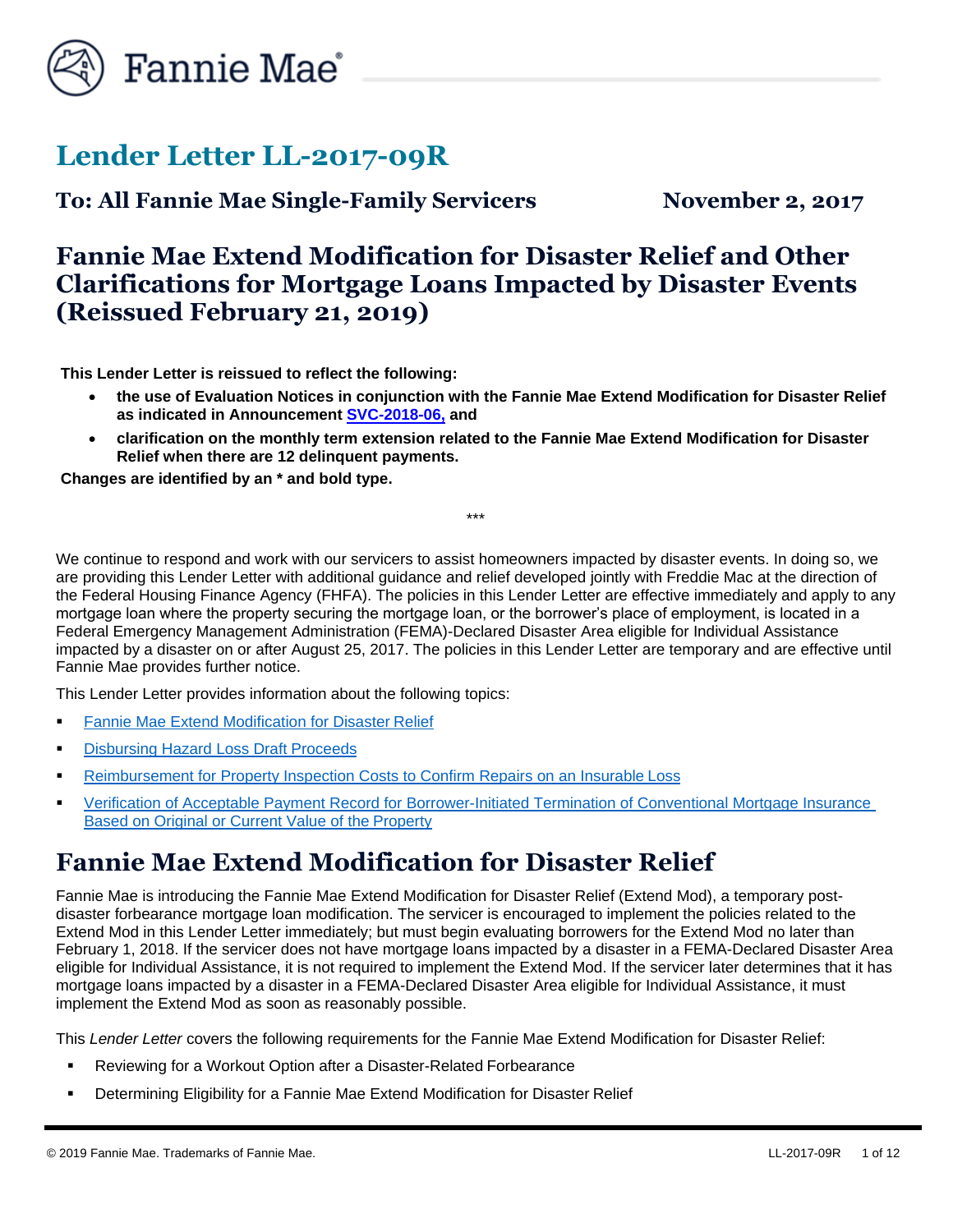

# **Lender Letter LL-2017-09R**

**To: All Fannie Mae Single-Family Servicers November 2, 2017**

## **Fannie Mae Extend Modification for Disaster Relief and Other Clarifications for Mortgage Loans Impacted by Disaster Events (Reissued February 21, 2019)**

**This Lender Letter is reissued to reflect the following:**

- **the use of Evaluation Notices in conjunction with the Fannie Mae Extend Modification for Disaster Relief as indicated in Announcement [SVC-2018-06,](https://www.fanniemae.com/content/announcement/svc1806.pdf) and**
- **clarification on the monthly term extension related to the Fannie Mae Extend Modification for Disaster Relief when there are 12 delinquent payments.**

\*\*\*

**Changes are identified by an \* and bold type.**

We continue to respond and work with our servicers to assist homeowners impacted by disaster events. In doing so, we are providing this Lender Letter with additional guidance and relief developed jointly with Freddie Mac at the direction of the Federal Housing Finance Agency (FHFA). The policies in this Lender Letter are effective immediately and apply to any mortgage loan where the property securing the mortgage loan, or the borrower's place of employment, is located in a Federal Emergency Management Administration (FEMA)-Declared Disaster Area eligible for Individual Assistance impacted by a disaster on or after August 25, 2017. The policies in this Lender Letter are temporary and are effective until Fannie Mae provides further notice.

This Lender Letter provides information about the following topics:

- **EXTERNIE Mannie Mae Extend Modification for Disaster Relief**
- **[Disbursing Hazard Loss Draft](#page-9-0) Proceeds**
- [Reimbursement for Property Inspection Costs to Confirm Repairs on an Insurable](#page-10-0) Loss
- **[Verification of Acceptable Payment Record for Borrower-Initiated Termination of Conventional Mortgage Insurance](#page-11-0)** [Based on Original or Current Value of the](#page-11-0) Property

# <span id="page-0-0"></span>**Fannie Mae Extend Modification for Disaster Relief**

Fannie Mae is introducing the Fannie Mae Extend Modification for Disaster Relief (Extend Mod), a temporary postdisaster forbearance mortgage loan modification. The servicer is encouraged to implement the policies related to the Extend Mod in this Lender Letter immediately; but must begin evaluating borrowers for the Extend Mod no later than February 1, 2018. If the servicer does not have mortgage loans impacted by a disaster in a FEMA-Declared Disaster Area eligible for Individual Assistance, it is not required to implement the Extend Mod. If the servicer later determines that it has mortgage loans impacted by a disaster in a FEMA-Declared Disaster Area eligible for Individual Assistance, it must implement the Extend Mod as soon as reasonably possible.

This *Lender Letter* covers the following requirements for the Fannie Mae Extend Modification for Disaster Relief:

- Reviewing for a Workout Option after a Disaster-Related Forbearance
- **EXEDERIFF** Determining Eligibility for a Fannie Mae Extend Modification for Disaster Relief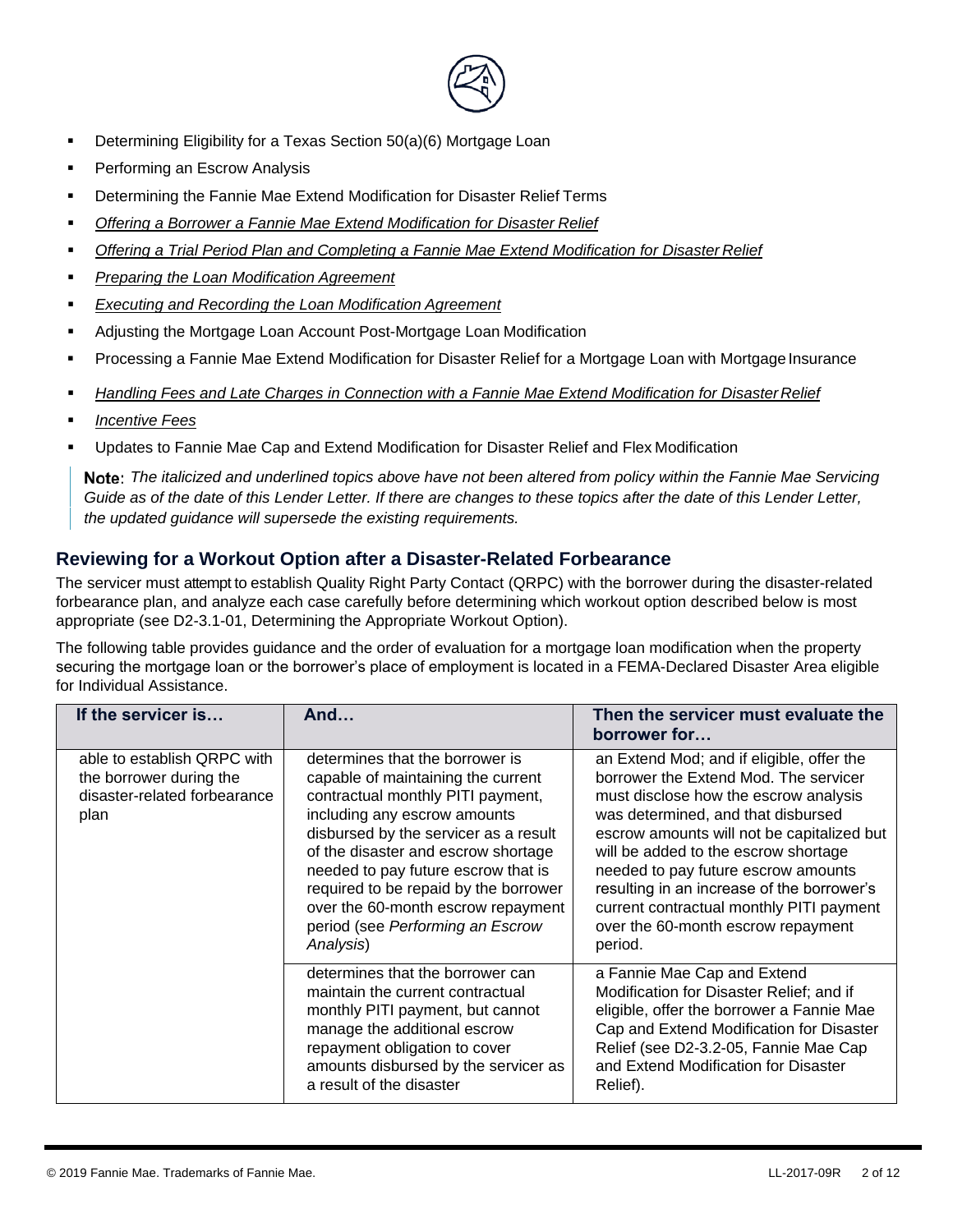

- Determining Eligibility for a Texas Section 50(a)(6) Mortgage Loan
- Performing an Escrow Analysis
- Determining the Fannie Mae Extend Modification for Disaster Relief Terms
- *Offering a Borrower a Fannie Mae Extend Modification for Disaster Relief*
- *Offering a Trial Period Plan and Completing a Fannie Mae Extend Modification for Disaster Relief*
- *Preparing the Loan Modification Agreement*
- *Executing and Recording the Loan Modification Agreement*
- Adjusting the Mortgage Loan Account Post-Mortgage Loan Modification
- Processing a Fannie Mae Extend Modification for Disaster Relief for a Mortgage Loan with Mortgage Insurance
- **Handling Fees and Late Charges in Connection with a Fannie Mae Extend Modification for Disaster Relief**
- *Incentive Fees*
- Updates to Fannie Mae Cap and Extend Modification for Disaster Relief and Flex Modification

*The italicized and underlined topics above have not been altered from policy within the Fannie Mae Servicing Guide as of the date of this Lender Letter. If there are changes to these topics after the date of this Lender Letter, the updated guidance will supersede the existing requirements.*

#### **Reviewing for a Workout Option after a Disaster-Related Forbearance**

The servicer must attempt to establish Quality Right Party Contact (QRPC) with the borrower during the disaster-related forbearance plan, and analyze each case carefully before determining which workout option described below is most appropriate (see D2-3.1-01, Determining the Appropriate Workout Option).

The following table provides guidance and the order of evaluation for a mortgage loan modification when the property securing the mortgage loan or the borrower's place of employment is located in a FEMA-Declared Disaster Area eligible for Individual Assistance.

| If the servicer is                                                                             | And                                                                                                                                                                                                                                                                                                                                                                                               | Then the servicer must evaluate the<br>borrower for                                                                                                                                                                                                                                                                                                                                                                                       |
|------------------------------------------------------------------------------------------------|---------------------------------------------------------------------------------------------------------------------------------------------------------------------------------------------------------------------------------------------------------------------------------------------------------------------------------------------------------------------------------------------------|-------------------------------------------------------------------------------------------------------------------------------------------------------------------------------------------------------------------------------------------------------------------------------------------------------------------------------------------------------------------------------------------------------------------------------------------|
| able to establish QRPC with<br>the borrower during the<br>disaster-related forbearance<br>plan | determines that the borrower is<br>capable of maintaining the current<br>contractual monthly PITI payment,<br>including any escrow amounts<br>disbursed by the servicer as a result<br>of the disaster and escrow shortage<br>needed to pay future escrow that is<br>required to be repaid by the borrower<br>over the 60-month escrow repayment<br>period (see Performing an Escrow<br>Analysis) | an Extend Mod; and if eligible, offer the<br>borrower the Extend Mod. The servicer<br>must disclose how the escrow analysis<br>was determined, and that disbursed<br>escrow amounts will not be capitalized but<br>will be added to the escrow shortage<br>needed to pay future escrow amounts<br>resulting in an increase of the borrower's<br>current contractual monthly PITI payment<br>over the 60-month escrow repayment<br>period. |
|                                                                                                | determines that the borrower can<br>maintain the current contractual<br>monthly PITI payment, but cannot<br>manage the additional escrow<br>repayment obligation to cover<br>amounts disbursed by the servicer as<br>a result of the disaster                                                                                                                                                     | a Fannie Mae Cap and Extend<br>Modification for Disaster Relief; and if<br>eligible, offer the borrower a Fannie Mae<br>Cap and Extend Modification for Disaster<br>Relief (see D2-3.2-05, Fannie Mae Cap<br>and Extend Modification for Disaster<br>Relief).                                                                                                                                                                             |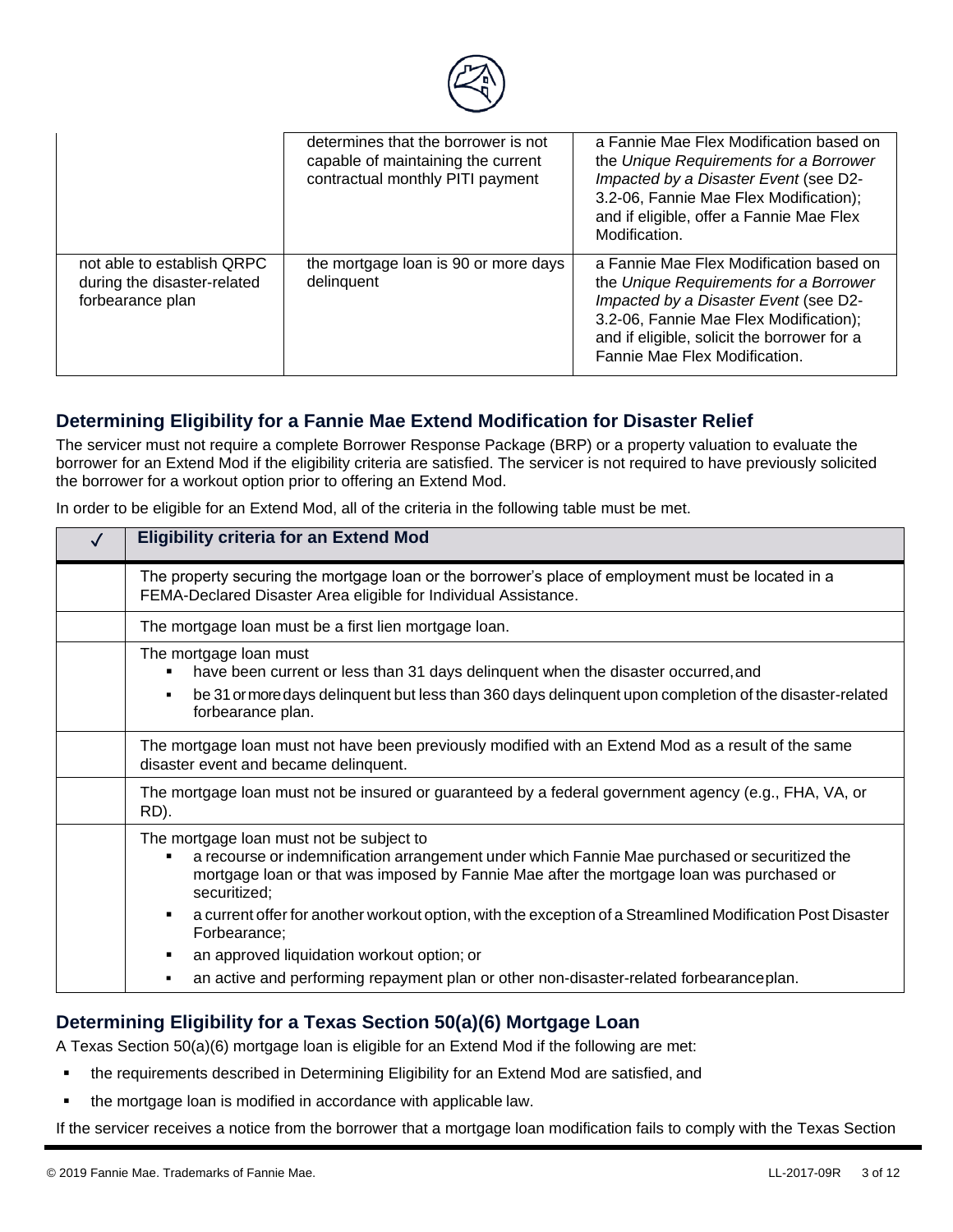

|                                                                               | determines that the borrower is not<br>capable of maintaining the current<br>contractual monthly PITI payment | a Fannie Mae Flex Modification based on<br>the Unique Requirements for a Borrower<br>Impacted by a Disaster Event (see D2-<br>3.2-06, Fannie Mae Flex Modification);<br>and if eligible, offer a Fannie Mae Flex<br>Modification.                    |
|-------------------------------------------------------------------------------|---------------------------------------------------------------------------------------------------------------|------------------------------------------------------------------------------------------------------------------------------------------------------------------------------------------------------------------------------------------------------|
| not able to establish QRPC<br>during the disaster-related<br>forbearance plan | the mortgage loan is 90 or more days<br>delinquent                                                            | a Fannie Mae Flex Modification based on<br>the Unique Requirements for a Borrower<br>Impacted by a Disaster Event (see D2-<br>3.2-06, Fannie Mae Flex Modification);<br>and if eligible, solicit the borrower for a<br>Fannie Mae Flex Modification. |

#### **Determining Eligibility for a Fannie Mae Extend Modification for Disaster Relief**

The servicer must not require a complete Borrower Response Package (BRP) or a property valuation to evaluate the borrower for an Extend Mod if the eligibility criteria are satisfied. The servicer is not required to have previously solicited the borrower for a workout option prior to offering an Extend Mod.

In order to be eligible for an Extend Mod, all of the criteria in the following table must be met.

| <b>Eligibility criteria for an Extend Mod</b>                                                                                                                                                                                                         |  |
|-------------------------------------------------------------------------------------------------------------------------------------------------------------------------------------------------------------------------------------------------------|--|
| The property securing the mortgage loan or the borrower's place of employment must be located in a<br>FEMA-Declared Disaster Area eligible for Individual Assistance.                                                                                 |  |
| The mortgage loan must be a first lien mortgage loan.                                                                                                                                                                                                 |  |
| The mortgage loan must<br>have been current or less than 31 days delinquent when the disaster occurred, and<br>be 31 or more days delinguent but less than 360 days delinguent upon completion of the disaster-related<br>forbearance plan.           |  |
| The mortgage loan must not have been previously modified with an Extend Mod as a result of the same<br>disaster event and became delinquent.                                                                                                          |  |
| The mortgage loan must not be insured or guaranteed by a federal government agency (e.g., FHA, VA, or<br>RD).                                                                                                                                         |  |
| The mortgage loan must not be subject to<br>a recourse or indemnification arrangement under which Fannie Mae purchased or securitized the<br>mortgage loan or that was imposed by Fannie Mae after the mortgage loan was purchased or<br>securitized; |  |
| a current offer for another workout option, with the exception of a Streamlined Modification Post Disaster<br>Forbearance;                                                                                                                            |  |
| an approved liquidation workout option; or                                                                                                                                                                                                            |  |
| an active and performing repayment plan or other non-disaster-related forbearanceplan.                                                                                                                                                                |  |

#### **Determining Eligibility for a Texas Section 50(a)(6) Mortgage Loan**

A Texas Section 50(a)(6) mortgage loan is eligible for an Extend Mod if the following are met:

- the requirements described in Determining Eligibility for an Extend Mod are satisfied, and
- the mortgage loan is modified in accordance with applicable law.

If the servicer receives a notice from the borrower that a mortgage loan modification fails to comply with the Texas Section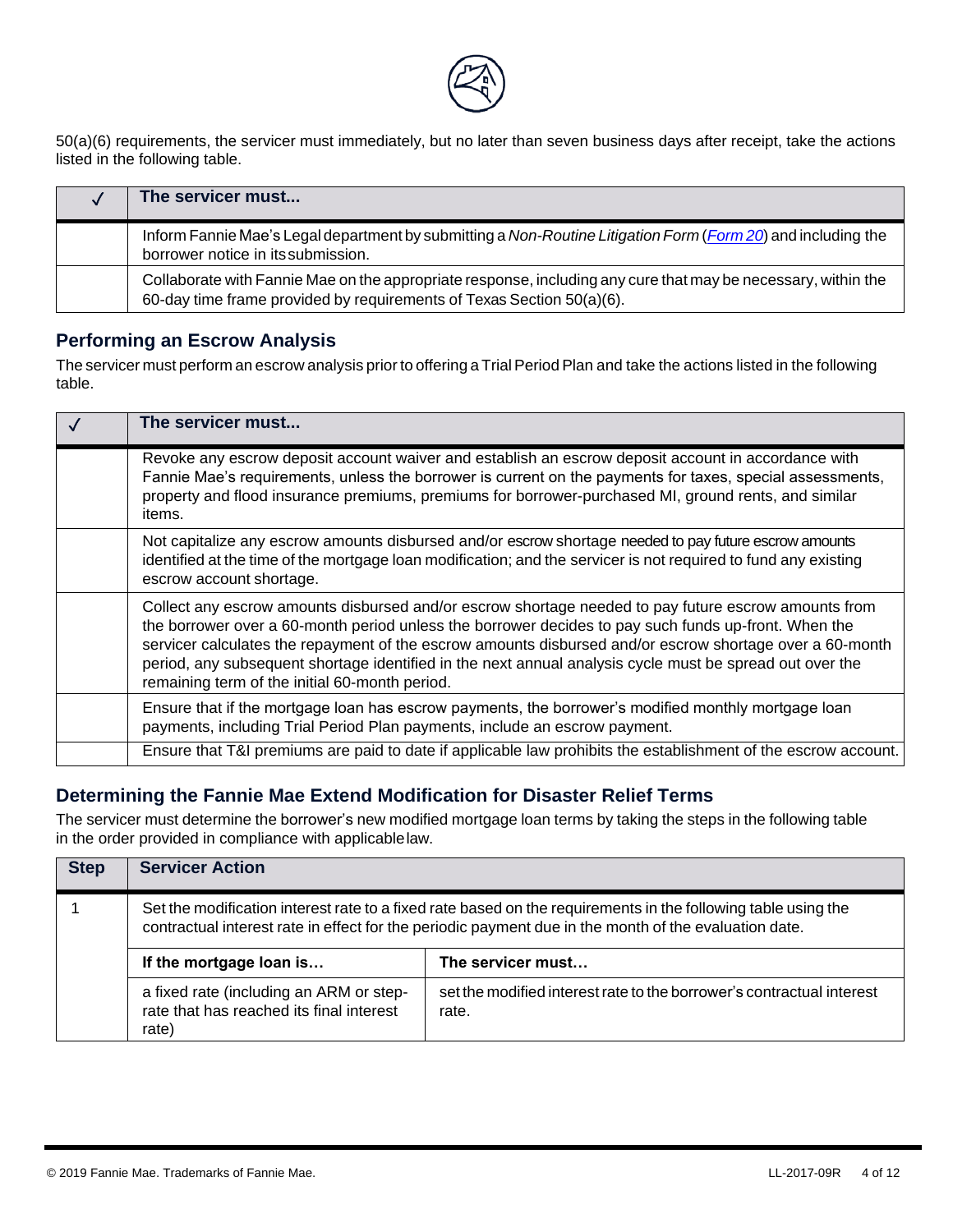

50(a)(6) requirements, the servicer must immediately, but no later than seven business days after receipt, take the actions listed in the following table.

| The servicer must                                                                                                                                                                      |
|----------------------------------------------------------------------------------------------------------------------------------------------------------------------------------------|
| Inform Fannie Mae's Legal department by submitting a Non-Routine Litigation Form (Form 20) and including the<br>borrower notice in its submission.                                     |
| Collaborate with Fannie Mae on the appropriate response, including any cure that may be necessary, within the<br>60-day time frame provided by requirements of Texas Section 50(a)(6). |

#### **Performing an Escrow Analysis**

The servicer must perform an escrow analysis prior to offering a Trial Period Plan and take the actions listed in the following table.

| The servicer must                                                                                                                                                                                                                                                                                                                                                                                                                                                                      |
|----------------------------------------------------------------------------------------------------------------------------------------------------------------------------------------------------------------------------------------------------------------------------------------------------------------------------------------------------------------------------------------------------------------------------------------------------------------------------------------|
| Revoke any escrow deposit account waiver and establish an escrow deposit account in accordance with<br>Fannie Mae's requirements, unless the borrower is current on the payments for taxes, special assessments,<br>property and flood insurance premiums, premiums for borrower-purchased MI, ground rents, and similar<br>items.                                                                                                                                                     |
| Not capitalize any escrow amounts disbursed and/or escrow shortage needed to pay future escrow amounts<br>identified at the time of the mortgage loan modification; and the servicer is not required to fund any existing<br>escrow account shortage.                                                                                                                                                                                                                                  |
| Collect any escrow amounts disbursed and/or escrow shortage needed to pay future escrow amounts from<br>the borrower over a 60-month period unless the borrower decides to pay such funds up-front. When the<br>servicer calculates the repayment of the escrow amounts disbursed and/or escrow shortage over a 60-month<br>period, any subsequent shortage identified in the next annual analysis cycle must be spread out over the<br>remaining term of the initial 60-month period. |
| Ensure that if the mortgage loan has escrow payments, the borrower's modified monthly mortgage loan<br>payments, including Trial Period Plan payments, include an escrow payment.                                                                                                                                                                                                                                                                                                      |
| Ensure that T&I premiums are paid to date if applicable law prohibits the establishment of the escrow account.                                                                                                                                                                                                                                                                                                                                                                         |

#### **Determining the Fannie Mae Extend Modification for Disaster Relief Terms**

The servicer must determine the borrower's new modified mortgage loan terms by taking the steps in the following table in the order provided in compliance with applicablelaw.

| <b>Step</b> | <b>Servicer Action</b>                                                                                                                                                                                                 |                                                                                |
|-------------|------------------------------------------------------------------------------------------------------------------------------------------------------------------------------------------------------------------------|--------------------------------------------------------------------------------|
|             | Set the modification interest rate to a fixed rate based on the requirements in the following table using the<br>contractual interest rate in effect for the periodic payment due in the month of the evaluation date. |                                                                                |
|             | If the mortgage loan is                                                                                                                                                                                                | The servicer must                                                              |
|             | a fixed rate (including an ARM or step-<br>rate that has reached its final interest<br>rate)                                                                                                                           | set the modified interest rate to the borrower's contractual interest<br>rate. |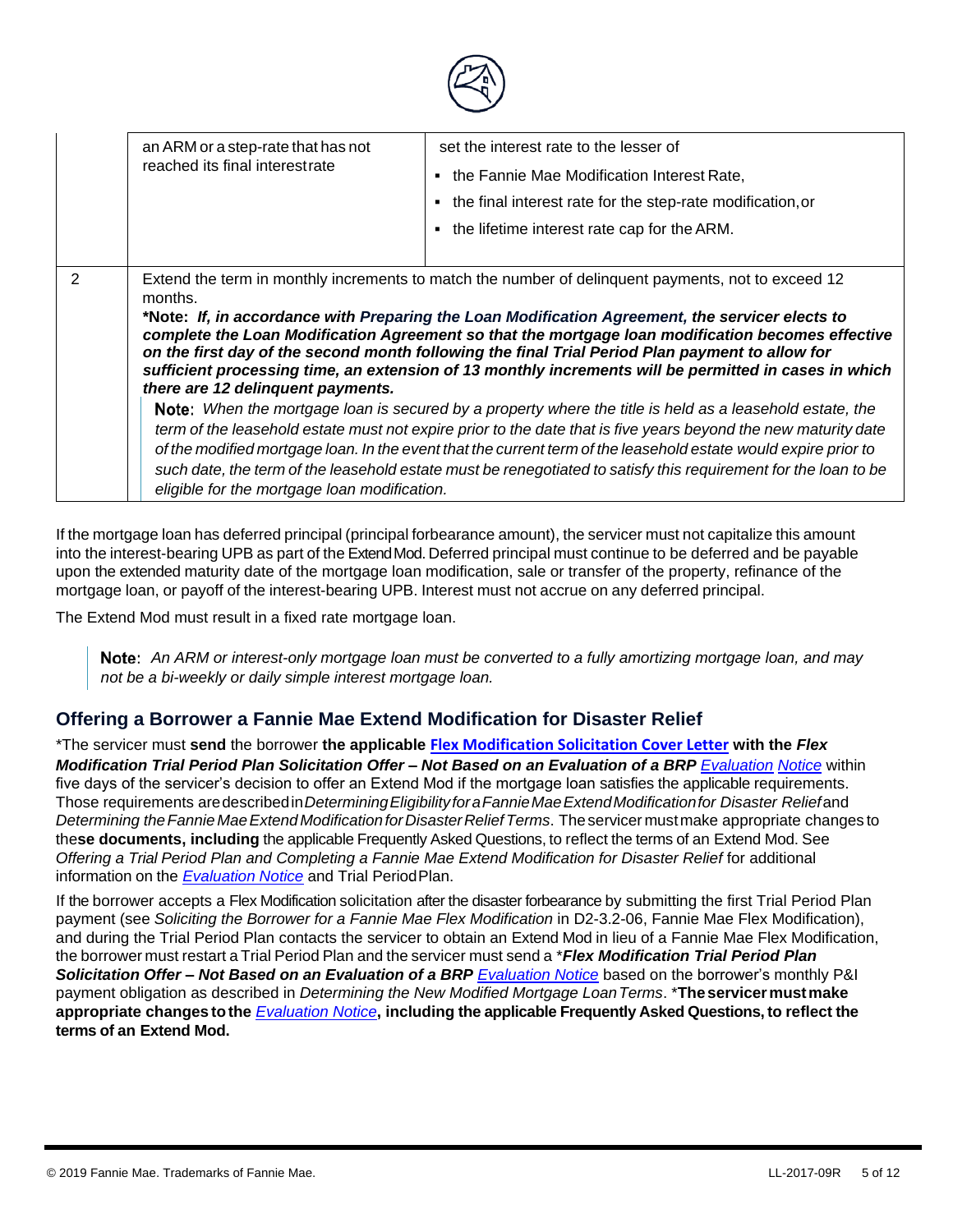|                | an ARM or a step-rate that has not                                                                                                                                                                                                                                                                                                                                                                                                                                                                                                                                                                                                                                                                                                                                                                   | set the interest rate to the lesser of                       |
|----------------|------------------------------------------------------------------------------------------------------------------------------------------------------------------------------------------------------------------------------------------------------------------------------------------------------------------------------------------------------------------------------------------------------------------------------------------------------------------------------------------------------------------------------------------------------------------------------------------------------------------------------------------------------------------------------------------------------------------------------------------------------------------------------------------------------|--------------------------------------------------------------|
|                | reached its final interestrate                                                                                                                                                                                                                                                                                                                                                                                                                                                                                                                                                                                                                                                                                                                                                                       | • the Fannie Mae Modification Interest Rate,                 |
|                |                                                                                                                                                                                                                                                                                                                                                                                                                                                                                                                                                                                                                                                                                                                                                                                                      | • the final interest rate for the step-rate modification, or |
|                |                                                                                                                                                                                                                                                                                                                                                                                                                                                                                                                                                                                                                                                                                                                                                                                                      | • the lifetime interest rate cap for the ARM.                |
|                |                                                                                                                                                                                                                                                                                                                                                                                                                                                                                                                                                                                                                                                                                                                                                                                                      |                                                              |
| $\overline{2}$ | Extend the term in monthly increments to match the number of delinguent payments, not to exceed 12<br>months.<br>*Note: If, in accordance with Preparing the Loan Modification Agreement, the servicer elects to<br>complete the Loan Modification Agreement so that the mortgage loan modification becomes effective<br>on the first day of the second month following the final Trial Period Plan payment to allow for<br>sufficient processing time, an extension of 13 monthly increments will be permitted in cases in which<br>there are 12 delinquent payments.<br>Note: When the mortgage loan is secured by a property where the title is held as a leasehold estate, the<br>term of the leasehold estate must not expire prior to the date that is five years beyond the new maturity date |                                                              |
|                | of the modified mortgage loan. In the event that the current term of the leasehold estate would expire prior to<br>such date, the term of the leasehold estate must be renegotiated to satisfy this requirement for the loan to be<br>eligible for the mortgage loan modification.                                                                                                                                                                                                                                                                                                                                                                                                                                                                                                                   |                                                              |

If the mortgage loan has deferred principal (principal forbearance amount), the servicer must not capitalize this amount into the interest-bearing UPB as part of the ExtendMod. Deferred principal must continue to be deferred and be payable upon the extended maturity date of the mortgage loan modification, sale or transfer of the property, refinance of the mortgage loan, or payoff of the interest-bearing UPB. Interest must not accrue on any deferred principal.

The Extend Mod must result in a fixed rate mortgage loan.

*An ARM or interest-only mortgage loan must be converted to a fully amortizing mortgage loan, and may not be a bi-weekly or daily simple interest mortgage loan.*

#### **Offering a Borrower a Fannie Mae Extend Modification for Disaster Relief**

\*The servicer must **send** the borrower **the applicable [Flex Modification Solicitation Cover Letter](https://www.fanniemae.com/content/guide_exhibit/evaluation-model-clauses.doc) with the** *Flex [Modification Trial Period Plan Solicitation Offer –](https://www.fanniemae.com/content/guide_exhibit/evaluation-model-clauses.doc) Not Based on an Evaluation of a BRP Evaluation Notice* within [five days of the servicer's decision to offer an Extend Mod if the mortgage loan satisfies the applicable](https://www.fanniemae.com/content/guide_exhibit/evaluation-model-clauses.doc) requirements. Those requirements aredescribedin*DeterminingEligibilityforaFannieMaeExtendModificationfor Disaster Relief*and *Determining theFannie MaeExtendModificationforDisasterReliefTerms*. Theservicer mustmake appropriate changes to the**se documents, including** the applicable Frequently Asked Questions, to reflect the terms of an Extend Mod. See *Offering a Trial Period Plan and Completing a Fannie Mae Extend Modification for Disaster Relief for additional* information on the **[Evaluation](https://www.fanniemae.com/content/guide_exhibit/evaluation-model-clauses.doc) Notice** and Trial Period Plan.

If the borrower accepts a Flex Modification solicitation after the disaster forbearance by submitting the first Trial Period Plan payment (see *Soliciting the Borrower for a Fannie Mae Flex Modification* in D2-3.2-06, Fannie Mae Flex Modification), and during the Trial Period Plan contacts the servicer to obtain an Extend Mod in lieu of a Fannie Mae Flex Modification, the borrower must restart a Trial Period Plan and the servicer must send a \**Flex Modification Trial Period Plan Solicitation Offer – Not Based on an Evaluation of a BRP [Evaluation Notice](https://www.fanniemae.com/content/guide_exhibit/evaluation-model-clauses.doc)* based on the borrower's monthly P&I payment obligation as described in *Determining the New Modified Mortgage LoanTerms*. \***Theservicermustmake appropriate changes tothe** *[Evaluation Notice](https://www.fanniemae.com/content/guide_exhibit/evaluation-model-clauses.doc)***, including the applicable Frequently Asked Questions, to reflect the terms of an Extend Mod.**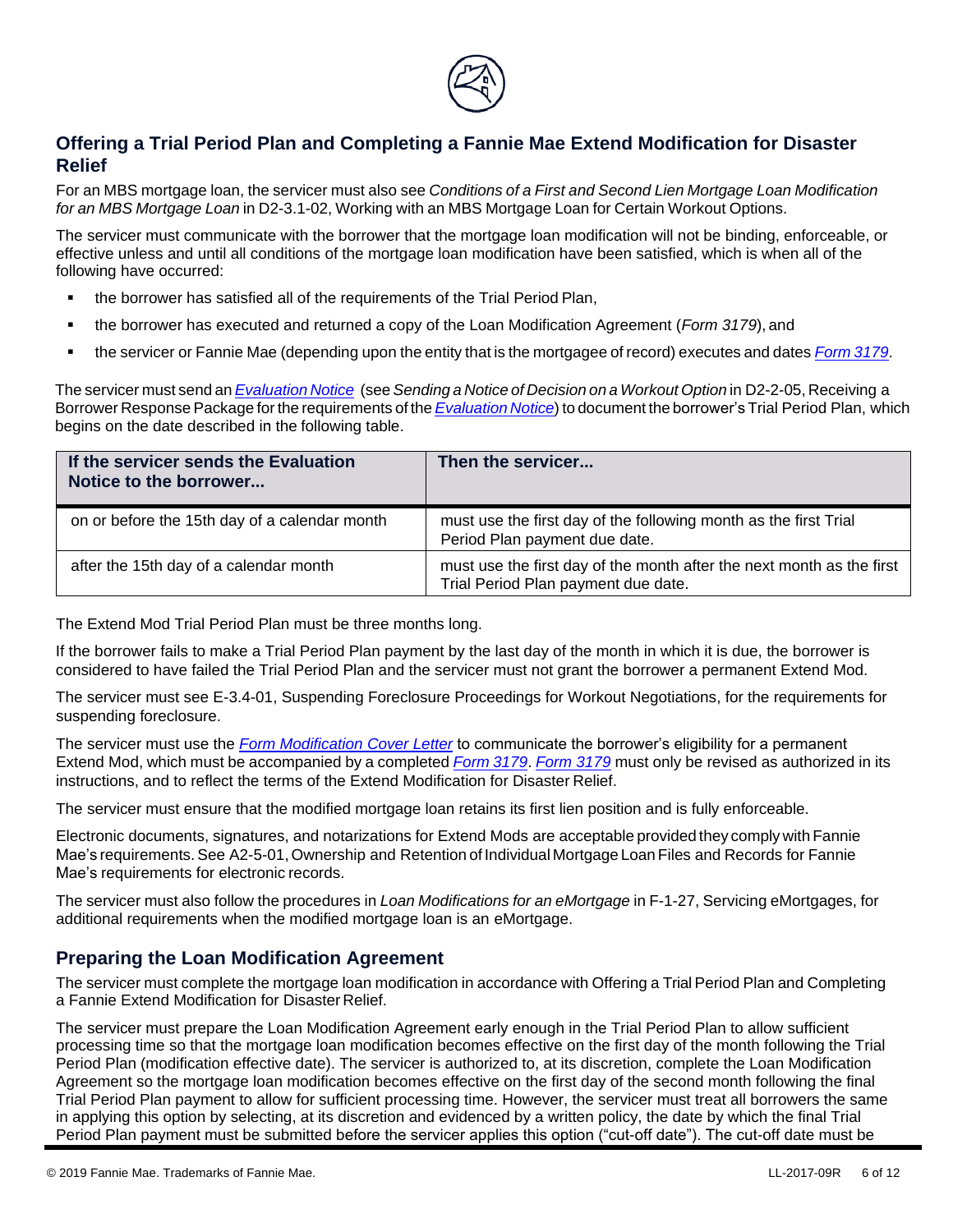

### **Offering a Trial Period Plan and Completing a Fannie Mae Extend Modification for Disaster Relief**

For an MBS mortgage loan, the servicer must also see *Conditions of a First and Second Lien Mortgage Loan Modification for an MBS Mortgage Loan* in D2-3.1-02, Working with an MBS Mortgage Loan for Certain Workout Options.

The servicer must communicate with the borrower that the mortgage loan modification will not be binding, enforceable, or effective unless and until all conditions of the mortgage loan modification have been satisfied, which is when all of the following have occurred:

- the borrower has satisfied all of the requirements of the Trial Period Plan,
- the borrower has executed and returned a copy of the Loan Modification Agreement (*[Form 3179](https://www.fanniemae.com/content/guide_form/3179.doc)*), and
- the servicer or Fannie Mae (depending upon the entity that is the mortgagee of record) executes and dates *[Form](https://www.fanniemae.com/content/guide_form/3179.doc) 3179*.

The servicer must send an*[Evaluation](https://www.fanniemae.com/content/guide_exhibit/evaluation-model-clauses.doc) Notice* (see *Sending a Notice of Decision on a Workout Option* in D2-2-05, Receiving a Borrower Response Package for the requirements of the *[Evaluation](https://www.fanniemae.com/content/guide_exhibit/evaluation-model-clauses.doc) Notice*) to document the borrower's Trial Period Plan, which begins on the date described in the following table.

| If the servicer sends the Evaluation<br>Notice to the borrower | Then the servicer                                                                                            |
|----------------------------------------------------------------|--------------------------------------------------------------------------------------------------------------|
| on or before the 15th day of a calendar month                  | must use the first day of the following month as the first Trial<br>Period Plan payment due date.            |
| after the 15th day of a calendar month                         | must use the first day of the month after the next month as the first<br>Trial Period Plan payment due date. |

The Extend Mod Trial Period Plan must be three months long.

If the borrower fails to make a Trial Period Plan payment by the last day of the month in which it is due, the borrower is considered to have failed the Trial Period Plan and the servicer must not grant the borrower a permanent Extend Mod.

The servicer must see E-3.4-01, Suspending Foreclosure Proceedings for Workout Negotiations, for the requirements for suspending foreclosure.

The servicer must use the *[Form Modification Cover Letter](https://www.fanniemae.com/content/guide_form/form-modification-cover-letter.doc)* to communicate the borrower's eligibility for a permanent Extend Mod, which must be accompanied by a [completed](https://www.fanniemae.com/content/guide_form/3179.doc) *Form 3179*. *[Form](https://www.fanniemae.com/content/guide_form/3179.doc) 3179* must only be revised as authorized in its instructions, and to reflect the terms of the Extend Modification for Disaster Relief.

The servicer must ensure that the modified mortgage loan retains its first lien position and is fully enforceable.

Electronic documents, signatures, and notarizations for Extend Mods are acceptable provided they comply with Fannie Mae's requirements.See A2-5-01,Ownership and Retention of Individual Mortgage Loan Files and Records for Fannie Mae's requirements for electronic records.

The servicer must also follow the procedures in *Loan Modifications for an eMortgage* in F-1-27, Servicing eMortgages, for additional requirements when the modified mortgage loan is an eMortgage.

#### **Preparing the Loan Modification Agreement**

The servicer must complete the mortgage loan modification in accordance with Offering a Trial Period Plan and Completing a Fannie Extend Modification for Disaster Relief.

The servicer must prepare the Loan Modification Agreement early enough in the Trial Period Plan to allow sufficient processing time so that the mortgage loan modification becomes effective on the first day of the month following the Trial Period Plan (modification effective date). The servicer is authorized to, at its discretion, complete the Loan Modification Agreement so the mortgage loan modification becomes effective on the first day of the second month following the final Trial Period Plan payment to allow for sufficient processing time. However, the servicer must treat all borrowers the same in applying this option by selecting, at its discretion and evidenced by a written policy, the date by which the final Trial Period Plan payment must be submitted before the servicer applies this option ("cut-off date"). The cut-off date must be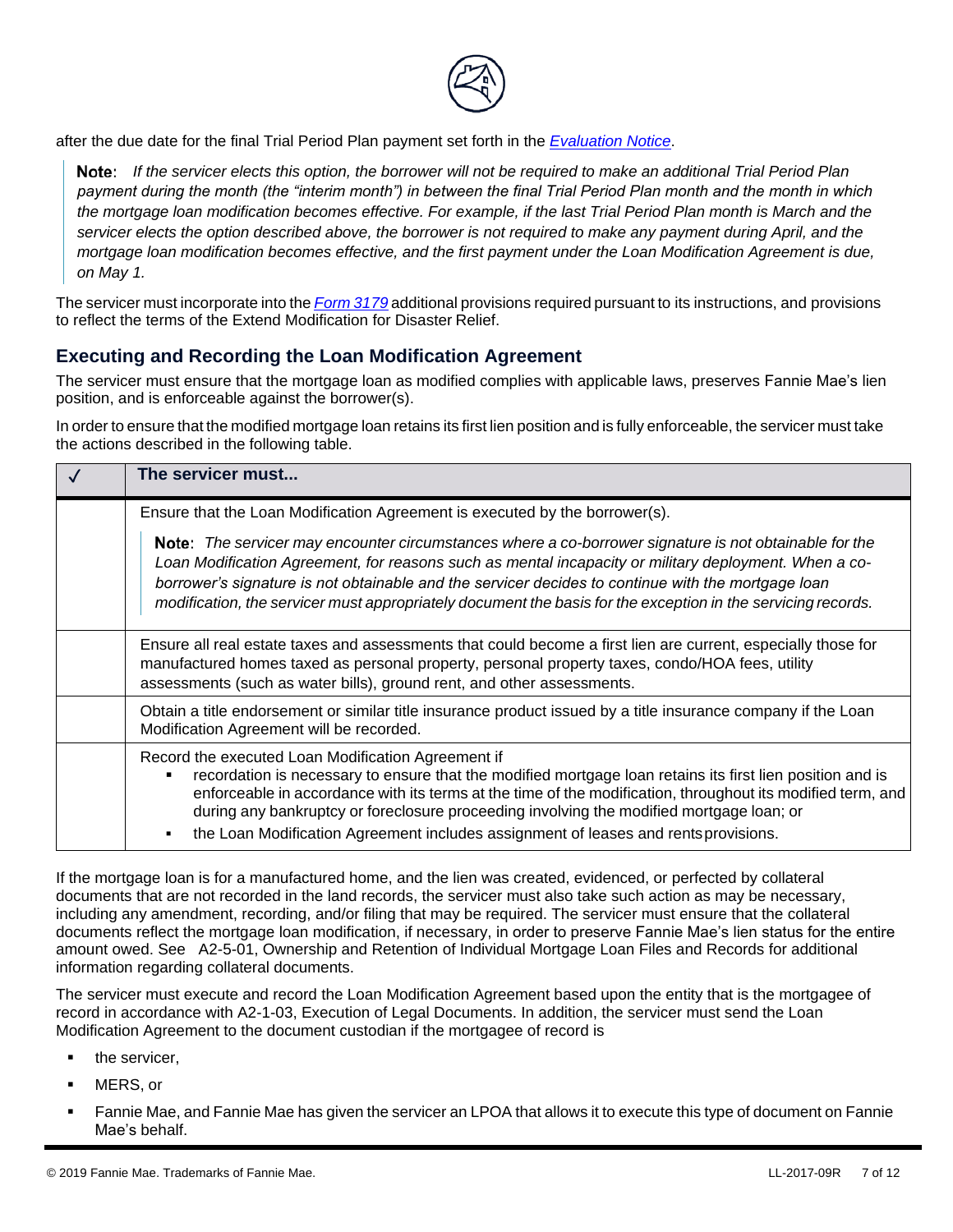

after the due date for the final Trial Period Plan payment set forth in the *[Evaluation Notice](https://www.fanniemae.com/content/guide_exhibit/evaluation-model-clauses.doc)*.

*If the servicer elects this option, the borrower will not be required to make an additional Trial Period Plan payment during the month (the "interim month") in between the final Trial Period Plan month and the month in which the mortgage loan modification becomes effective. For example, if the last Trial Period Plan month is March and the servicer elects the option described above, the borrower is not required to make any payment during April, and the mortgage loan modification becomes effective, and the first payment under the Loan Modification Agreement is due, on May 1.*

The servicer must incorporate into the *[Form](https://www.fanniemae.com/content/guide_form/3179.doc) 3179* additional provisions required pursuant to its instructions, and provisions to reflect the terms of the Extend Modification for Disaster Relief.

#### **Executing and Recording the Loan Modification Agreement**

The servicer must ensure that the mortgage loan as modified complies with applicable laws, preserves Fannie Mae's lien position, and is enforceable against the borrower(s).

In order to ensure that the modified mortgage loan retains its first lien position and is fully enforceable, the servicer must take the actions described in the following table.

| The servicer must                                                                                                                                                                                                                                                                                                                                                                                                                                                |
|------------------------------------------------------------------------------------------------------------------------------------------------------------------------------------------------------------------------------------------------------------------------------------------------------------------------------------------------------------------------------------------------------------------------------------------------------------------|
| Ensure that the Loan Modification Agreement is executed by the borrower(s).                                                                                                                                                                                                                                                                                                                                                                                      |
| <b>Note:</b> The servicer may encounter circumstances where a co-borrower signature is not obtainable for the<br>Loan Modification Agreement, for reasons such as mental incapacity or military deployment. When a co-<br>borrower's signature is not obtainable and the servicer decides to continue with the mortgage loan<br>modification, the servicer must appropriately document the basis for the exception in the servicing records.                     |
| Ensure all real estate taxes and assessments that could become a first lien are current, especially those for<br>manufactured homes taxed as personal property, personal property taxes, condo/HOA fees, utility<br>assessments (such as water bills), ground rent, and other assessments.                                                                                                                                                                       |
| Obtain a title endorsement or similar title insurance product issued by a title insurance company if the Loan<br>Modification Agreement will be recorded.                                                                                                                                                                                                                                                                                                        |
| Record the executed Loan Modification Agreement if<br>recordation is necessary to ensure that the modified mortgage loan retains its first lien position and is<br>enforceable in accordance with its terms at the time of the modification, throughout its modified term, and<br>during any bankruptcy or foreclosure proceeding involving the modified mortgage loan; or<br>the Loan Modification Agreement includes assignment of leases and rentsprovisions. |

If the mortgage loan is for a manufactured home, and the lien was created, evidenced, or perfected by collateral documents that are not recorded in the land records, the servicer must also take such action as may be necessary, including any amendment, recording, and/or filing that may be required. The servicer must ensure that the collateral documents reflect the mortgage loan modification, if necessary, in order to preserve Fannie Mae's lien status for the entire amount owed. See A2-5-01, Ownership and Retention of Individual Mortgage Loan Files and Records for additional information regarding collateral documents.

The servicer must execute and record the Loan Modification Agreement based upon the entity that is the mortgagee of record in accordance with A2-1-03, Execution of Legal Documents. In addition, the servicer must send the Loan Modification Agreement to the document custodian if the mortgagee of record is

- **•** the servicer,
- MERS, or
- Fannie Mae, and Fannie Mae has given the servicer an LPOA that allows it to execute this type of document on Fannie Mae's behalf.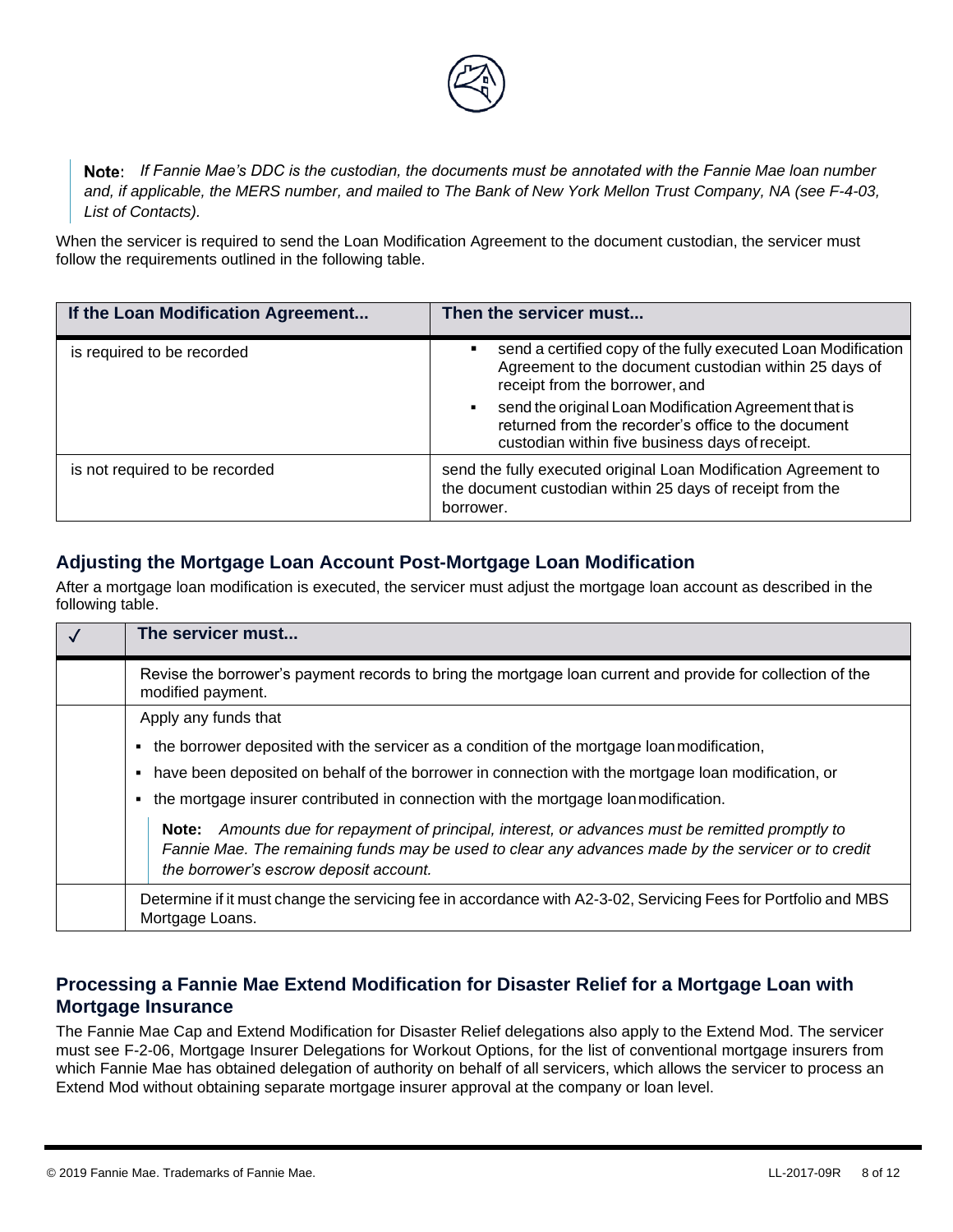

*If Fannie Mae's DDC is the custodian, the documents must be annotated with the Fannie Mae loan number and, if applicable, the MERS number, and mailed to The Bank of New York Mellon Trust Company, NA (see F-4-03, List of Contacts).*

When the servicer is required to send the Loan Modification Agreement to the document custodian, the servicer must follow the requirements outlined in the following table.

| If the Loan Modification Agreement | Then the servicer must                                                                                                                                               |
|------------------------------------|----------------------------------------------------------------------------------------------------------------------------------------------------------------------|
| is required to be recorded         | send a certified copy of the fully executed Loan Modification<br>Agreement to the document custodian within 25 days of<br>receipt from the borrower, and             |
|                                    | send the original Loan Modification Agreement that is<br>٠<br>returned from the recorder's office to the document<br>custodian within five business days of receipt. |
| is not required to be recorded     | send the fully executed original Loan Modification Agreement to<br>the document custodian within 25 days of receipt from the<br>borrower.                            |

### **Adjusting the Mortgage Loan Account Post-Mortgage Loan Modification**

After a mortgage loan modification is executed, the servicer must adjust the mortgage loan account as described in the following table.

| $\sqrt{ }$ | The servicer must                                                                                                                                                                                                                                    |
|------------|------------------------------------------------------------------------------------------------------------------------------------------------------------------------------------------------------------------------------------------------------|
|            | Revise the borrower's payment records to bring the mortgage loan current and provide for collection of the<br>modified payment.                                                                                                                      |
|            | Apply any funds that                                                                                                                                                                                                                                 |
|            | the borrower deposited with the servicer as a condition of the mortgage loan modification,                                                                                                                                                           |
|            | have been deposited on behalf of the borrower in connection with the mortgage loan modification, or                                                                                                                                                  |
|            | the mortgage insurer contributed in connection with the mortgage loan modification.                                                                                                                                                                  |
|            | Amounts due for repayment of principal, interest, or advances must be remitted promptly to<br>Note:<br>Fannie Mae. The remaining funds may be used to clear any advances made by the servicer or to credit<br>the borrower's escrow deposit account. |
|            | Determine if it must change the servicing fee in accordance with A2-3-02, Servicing Fees for Portfolio and MBS<br>Mortgage Loans.                                                                                                                    |

### **Processing a Fannie Mae Extend Modification for Disaster Relief for a Mortgage Loan with Mortgage Insurance**

The Fannie Mae Cap and Extend Modification for Disaster Relief delegations also apply to the Extend Mod. The servicer must see F-2-06, Mortgage Insurer Delegations for Workout Options, for the list of conventional mortgage insurers from which Fannie Mae has obtained delegation of authority on behalf of all servicers, which allows the servicer to process an Extend Mod without obtaining separate mortgage insurer approval at the company or loan level.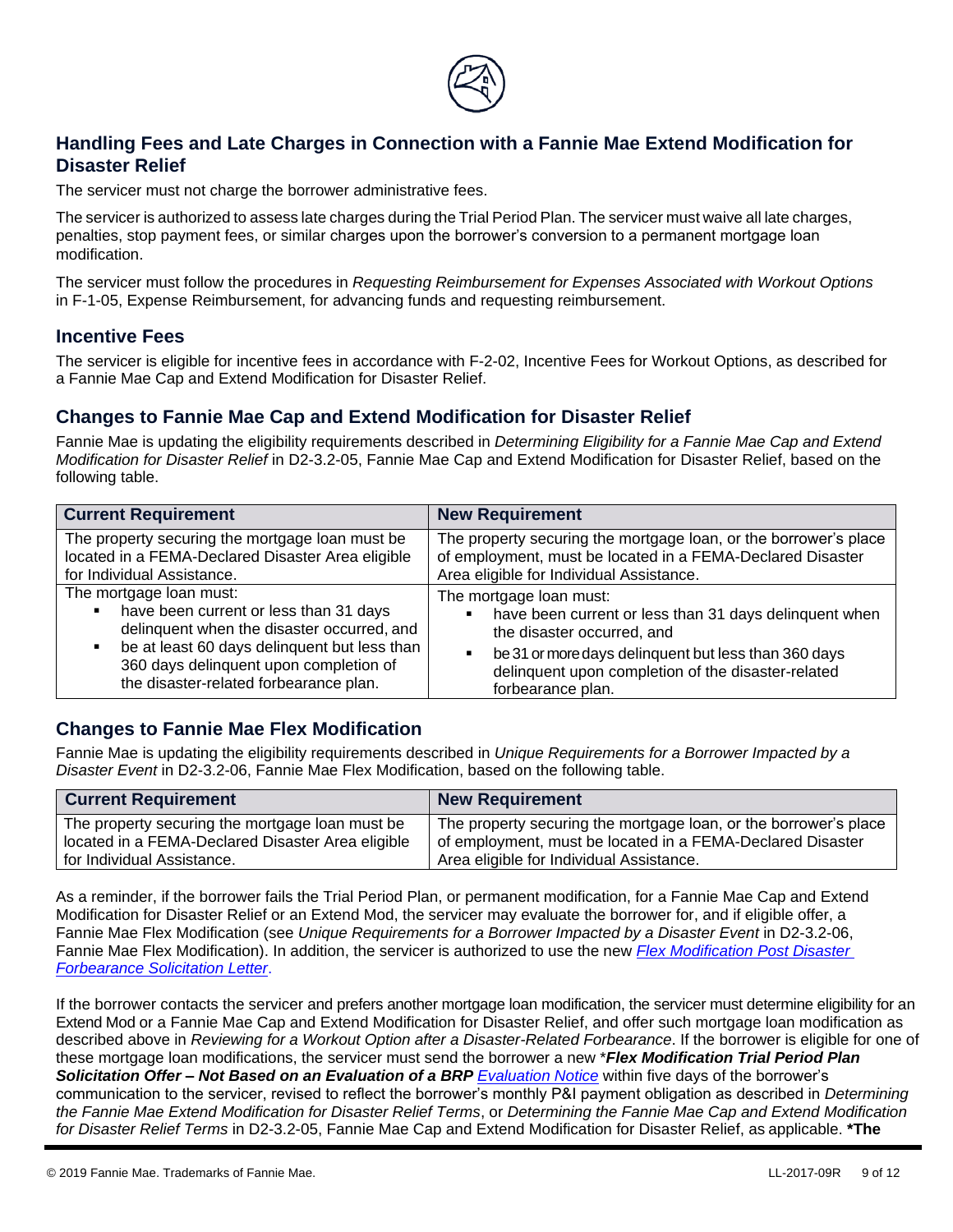

### **Handling Fees and Late Charges in Connection with a Fannie Mae Extend Modification for Disaster Relief**

The servicer must not charge the borrower administrative fees.

The servicer is authorized to assess late charges during the Trial Period Plan. The servicer must waive all late charges, penalties, stop payment fees, or similar charges upon the borrower's conversion to a permanent mortgage loan modification.

The servicer must follow the procedures in *Requesting Reimbursement for Expenses Associated with Workout Options* in F-1-05, Expense Reimbursement, for advancing funds and requesting reimbursement.

#### **Incentive Fees**

The servicer is eligible for incentive fees in accordance with F-2-02, Incentive Fees for Workout Options, as described for a Fannie Mae Cap and Extend Modification for Disaster Relief.

#### **Changes to Fannie Mae Cap and Extend Modification for Disaster Relief**

Fannie Mae is updating the eligibility requirements described in *Determining Eligibility for a Fannie Mae Cap and Extend Modification for Disaster Relief* in D2-3.2-05, Fannie Mae Cap and Extend Modification for Disaster Relief, based on the following table.

| <b>Current Requirement</b>                                                                                                                                                                                                                                    | <b>New Requirement</b>                                                                                                                                                                                                                                  |
|---------------------------------------------------------------------------------------------------------------------------------------------------------------------------------------------------------------------------------------------------------------|---------------------------------------------------------------------------------------------------------------------------------------------------------------------------------------------------------------------------------------------------------|
| The property securing the mortgage loan must be<br>located in a FEMA-Declared Disaster Area eligible<br>for Individual Assistance.                                                                                                                            | The property securing the mortgage loan, or the borrower's place<br>of employment, must be located in a FEMA-Declared Disaster<br>Area eligible for Individual Assistance.                                                                              |
| The mortgage loan must:<br>have been current or less than 31 days<br>٠<br>delinquent when the disaster occurred, and<br>be at least 60 days delinquent but less than<br>٠<br>360 days delinquent upon completion of<br>the disaster-related forbearance plan. | The mortgage loan must:<br>have been current or less than 31 days delinquent when<br>the disaster occurred, and<br>be 31 or more days delinquent but less than 360 days<br>٠<br>delinquent upon completion of the disaster-related<br>forbearance plan. |

#### **Changes to Fannie Mae Flex Modification**

Fannie Mae is updating the eligibility requirements described in *Unique Requirements for a Borrower Impacted by a Disaster Event* in D2-3.2-06, Fannie Mae Flex Modification, based on the following table.

| <b>Current Requirement</b>                        | <b>New Requirement</b>                                           |
|---------------------------------------------------|------------------------------------------------------------------|
| The property securing the mortgage loan must be   | The property securing the mortgage loan, or the borrower's place |
| located in a FEMA-Declared Disaster Area eligible | of employment, must be located in a FEMA-Declared Disaster       |
| for Individual Assistance.                        | Area eligible for Individual Assistance.                         |

As a reminder, if the borrower fails the Trial Period Plan, or permanent modification, for a Fannie Mae Cap and Extend Modification for Disaster Relief or an Extend Mod, the servicer may evaluate the borrower for, and if eligible offer, a Fannie Mae Flex Modification (see *Unique Requirements for a Borrower Impacted by a Disaster Event* in D2-3.2-06, Fannie Mae Flex Modification). In addition, the servicer is authorized to use the new *[Flex Modification Post Disaster](https://www.fanniemae.com/content/guide_exhibit/flex-modification-post-disaster-forbearance-letter.docx)  [Forbearance Solicitation Letter](https://www.fanniemae.com/content/guide_exhibit/flex-modification-post-disaster-forbearance-letter.docx)*.

If the borrower contacts the servicer and prefers another mortgage loan modification, the servicer must determine eligibility for an Extend Mod or a Fannie Mae Cap and Extend Modification for Disaster Relief, and offer such mortgage loan modification as described above in *Reviewing for a Workout Option after a Disaster-Related Forbearance*. If the borrower is eligible for one of these mortgage loan modifications, the servicer must send the borrower a new \**Flex Modification Trial Period Plan Solicitation Offer – Not Based on an Evaluation of a BRP [Evaluation Notice](https://www.fanniemae.com/content/guide_exhibit/evaluation-model-clauses.doc)* within five days of the borrower's communication to the servicer, revised to reflect the borrower's monthly P&I payment obligation as described in *Determining the Fannie Mae Extend Modification for Disaster Relief Terms*, or *Determining the Fannie Mae Cap and Extend Modification for Disaster Relief Terms* in D2-3.2-05, Fannie Mae Cap and Extend Modification for Disaster Relief, as applicable. **\*The**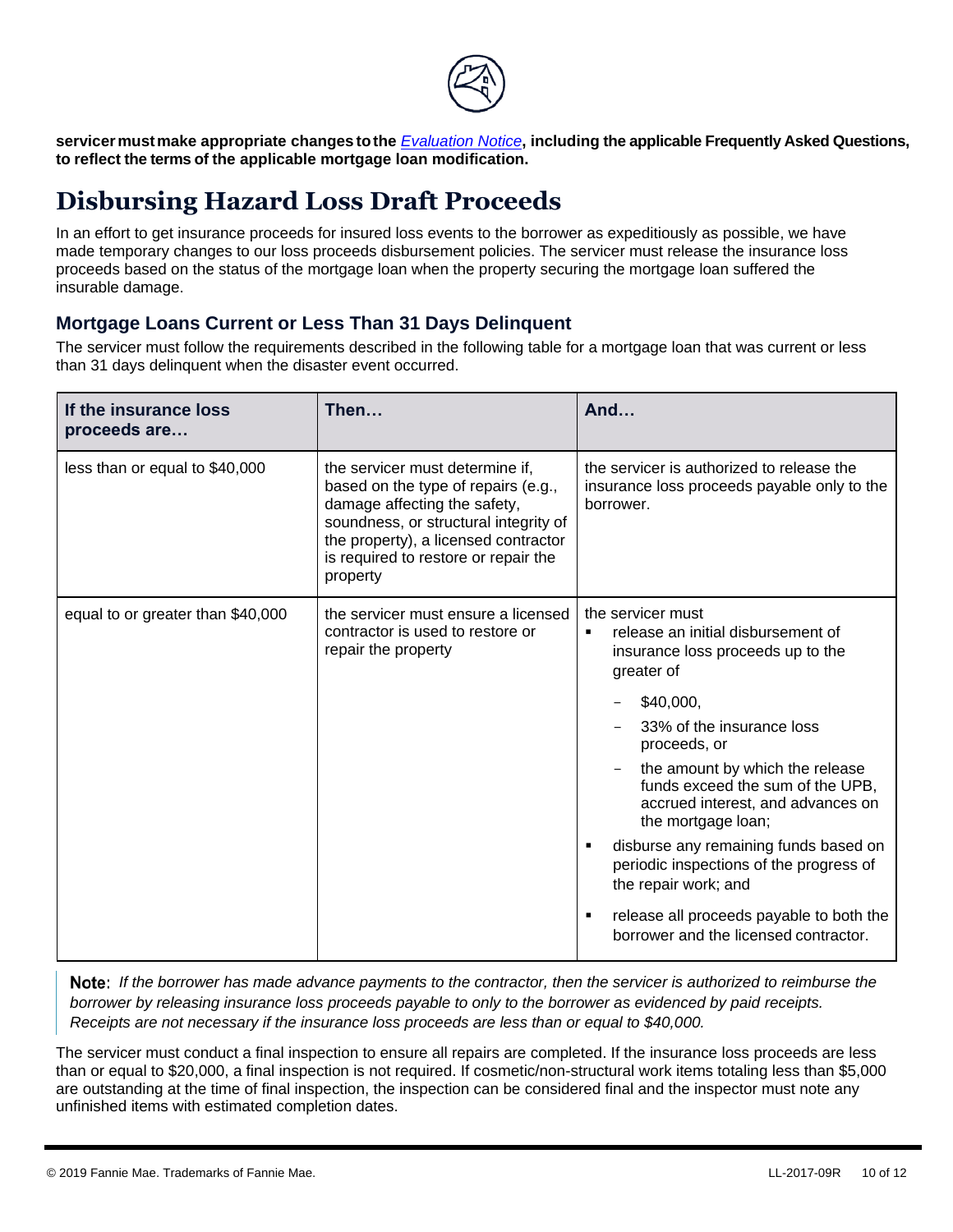

**servicermustmake appropriate changes tothe** *[Evaluation Notice](https://www.fanniemae.com/content/guide_exhibit/evaluation-model-clauses.doc)***, including the applicable Frequently Asked Questions, to reflect the terms of the applicable mortgage loan modification.**

# <span id="page-9-0"></span>**Disbursing Hazard Loss Draft Proceeds**

In an effort to get insurance proceeds for insured loss events to the borrower as expeditiously as possible, we have made temporary changes to our loss proceeds disbursement policies. The servicer must release the insurance loss proceeds based on the status of the mortgage loan when the property securing the mortgage loan suffered the insurable damage.

### **Mortgage Loans Current or Less Than 31 Days Delinquent**

The servicer must follow the requirements described in the following table for a mortgage loan that was current or less than 31 days delinquent when the disaster event occurred.

| If the insurance loss<br>proceeds are | Then                                                                                                                                                                                                                                        | And                                                                                                                                                                                                                                                                                                                                                                                                                                                                                                                    |
|---------------------------------------|---------------------------------------------------------------------------------------------------------------------------------------------------------------------------------------------------------------------------------------------|------------------------------------------------------------------------------------------------------------------------------------------------------------------------------------------------------------------------------------------------------------------------------------------------------------------------------------------------------------------------------------------------------------------------------------------------------------------------------------------------------------------------|
| less than or equal to \$40,000        | the servicer must determine if,<br>based on the type of repairs (e.g.,<br>damage affecting the safety,<br>soundness, or structural integrity of<br>the property), a licensed contractor<br>is required to restore or repair the<br>property | the servicer is authorized to release the<br>insurance loss proceeds payable only to the<br>borrower.                                                                                                                                                                                                                                                                                                                                                                                                                  |
| equal to or greater than \$40,000     | the servicer must ensure a licensed<br>contractor is used to restore or<br>repair the property                                                                                                                                              | the servicer must<br>release an initial disbursement of<br>٠<br>insurance loss proceeds up to the<br>greater of<br>\$40,000,<br>33% of the insurance loss<br>proceeds, or<br>the amount by which the release<br>funds exceed the sum of the UPB,<br>accrued interest, and advances on<br>the mortgage loan;<br>disburse any remaining funds based on<br>٠<br>periodic inspections of the progress of<br>the repair work; and<br>release all proceeds payable to both the<br>٠<br>borrower and the licensed contractor. |

**Note:** If the borrower has made advance payments to the contractor, then the servicer is authorized to reimburse the *borrower by releasing insurance loss proceeds payable to only to the borrower as evidenced by paid receipts. Receipts are not necessary if the insurance loss proceeds are less than or equal to \$40,000.*

The servicer must conduct a final inspection to ensure all repairs are completed. If the insurance loss proceeds are less than or equal to \$20,000, a final inspection is not required. If cosmetic/non-structural work items totaling less than \$5,000 are outstanding at the time of final inspection, the inspection can be considered final and the inspector must note any unfinished items with estimated completion dates.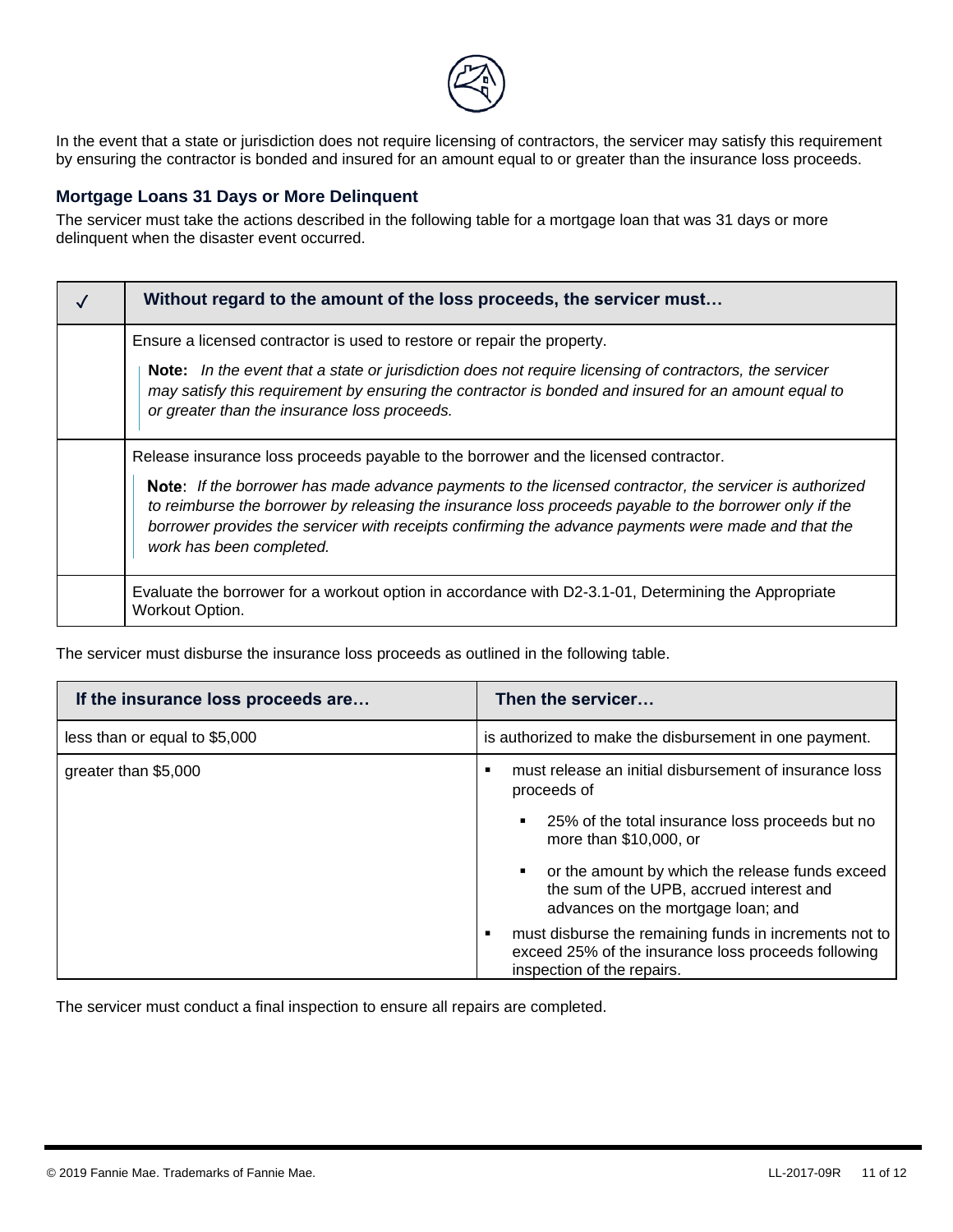

In the event that a state or jurisdiction does not require licensing of contractors, the servicer may satisfy this requirement by ensuring the contractor is bonded and insured for an amount equal to or greater than the insurance loss proceeds.

#### **Mortgage Loans 31 Days or More Delinquent**

The servicer must take the actions described in the following table for a mortgage loan that was 31 days or more delinquent when the disaster event occurred.

| Without regard to the amount of the loss proceeds, the servicer must                                                                                                                                                                                                                                                                                |  |
|-----------------------------------------------------------------------------------------------------------------------------------------------------------------------------------------------------------------------------------------------------------------------------------------------------------------------------------------------------|--|
| Ensure a licensed contractor is used to restore or repair the property.                                                                                                                                                                                                                                                                             |  |
| Note: In the event that a state or jurisdiction does not require licensing of contractors, the servicer<br>may satisfy this requirement by ensuring the contractor is bonded and insured for an amount equal to<br>or greater than the insurance loss proceeds.                                                                                     |  |
| Release insurance loss proceeds payable to the borrower and the licensed contractor.                                                                                                                                                                                                                                                                |  |
| Note: If the borrower has made advance payments to the licensed contractor, the servicer is authorized<br>to reimburse the borrower by releasing the insurance loss proceeds payable to the borrower only if the<br>borrower provides the servicer with receipts confirming the advance payments were made and that the<br>work has been completed. |  |
| Evaluate the borrower for a workout option in accordance with D2-3.1-01, Determining the Appropriate<br>Workout Option.                                                                                                                                                                                                                             |  |

The servicer must disburse the insurance loss proceeds as outlined in the following table.

| If the insurance loss proceeds are | Then the servicer                                                                                                                                |  |
|------------------------------------|--------------------------------------------------------------------------------------------------------------------------------------------------|--|
| less than or equal to \$5,000      | is authorized to make the disbursement in one payment.                                                                                           |  |
| greater than \$5,000               | must release an initial disbursement of insurance loss<br>proceeds of                                                                            |  |
|                                    | 25% of the total insurance loss proceeds but no<br>٠<br>more than \$10,000, or                                                                   |  |
|                                    | or the amount by which the release funds exceed<br>٠<br>the sum of the UPB, accrued interest and<br>advances on the mortgage loan; and           |  |
|                                    | must disburse the remaining funds in increments not to<br>٠<br>exceed 25% of the insurance loss proceeds following<br>inspection of the repairs. |  |

<span id="page-10-0"></span>The servicer must conduct a final inspection to ensure all repairs are completed.